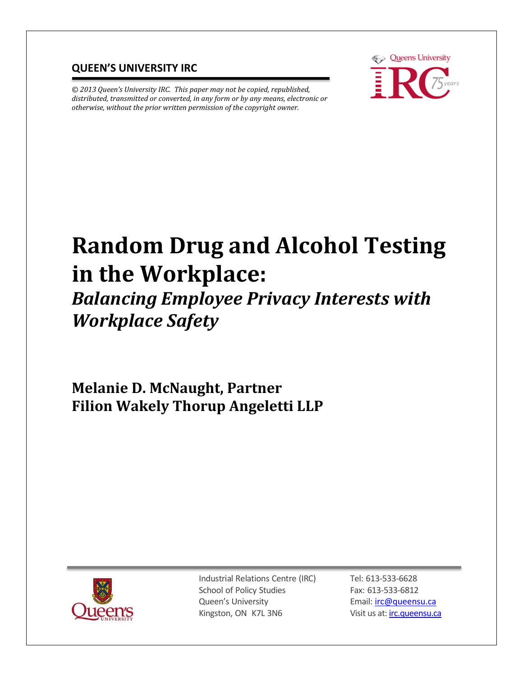#### **QUEEN'S UNIVERSITY IRC**

*© 2013 Queen's University IRC. This paper may not be copied, republished, distributed, transmitted or converted, in any form or by any means, electronic or otherwise, without the prior written permission of the copyright owner.*



# **Random Drug and Alcohol Testing in the Workplace:**

# *Balancing Employee Privacy Interests with Workplace Safety*

**Melanie D. McNaught, Partner Filion Wakely Thorup Angeletti LLP** 



Industrial Relations Centre (IRC) School of Policy Studies Queen's University Kingston, ON K7L 3N6

Tel: 613-533-6628 Fax: 613-533-6812 Email: [irc@queensu.ca](mailto:irc@queensu.ca) Visit us at[: irc.queensu.ca](http://irc.queensu.ca/)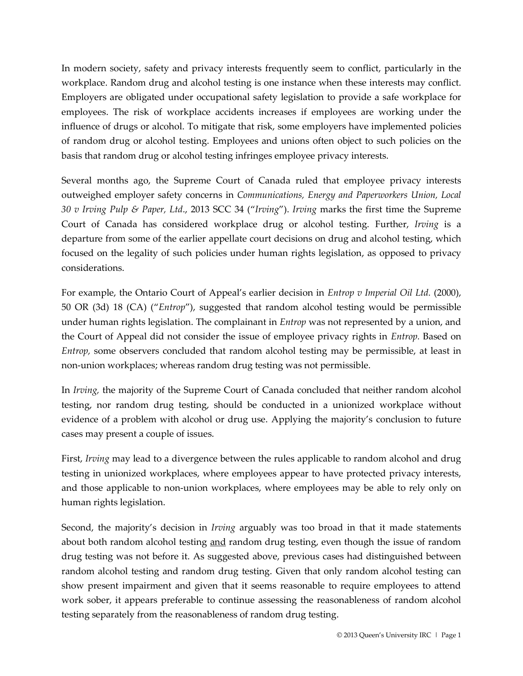In modern society, safety and privacy interests frequently seem to conflict, particularly in the workplace. Random drug and alcohol testing is one instance when these interests may conflict. Employers are obligated under occupational safety legislation to provide a safe workplace for employees. The risk of workplace accidents increases if employees are working under the influence of drugs or alcohol. To mitigate that risk, some employers have implemented policies of random drug or alcohol testing. Employees and unions often object to such policies on the basis that random drug or alcohol testing infringes employee privacy interests.

Several months ago, the Supreme Court of Canada ruled that employee privacy interests outweighed employer safety concerns in *Communications, Energy and Paperworkers Union, Local 30 v Irving Pulp & Paper, Ltd*., 2013 SCC 34 ("*Irving*"). *Irving* marks the first time the Supreme Court of Canada has considered workplace drug or alcohol testing. Further, *Irving* is a departure from some of the earlier appellate court decisions on drug and alcohol testing, which focused on the legality of such policies under human rights legislation, as opposed to privacy considerations.

For example, the Ontario Court of Appeal's earlier decision in *Entrop v Imperial Oil Ltd.* (2000), 50 OR (3d) 18 (CA) ("*Entrop*"), suggested that random alcohol testing would be permissible under human rights legislation. The complainant in *Entrop* was not represented by a union, and the Court of Appeal did not consider the issue of employee privacy rights in *Entrop.* Based on *Entrop,* some observers concluded that random alcohol testing may be permissible, at least in non-union workplaces; whereas random drug testing was not permissible.

In *Irving,* the majority of the Supreme Court of Canada concluded that neither random alcohol testing, nor random drug testing, should be conducted in a unionized workplace without evidence of a problem with alcohol or drug use. Applying the majority's conclusion to future cases may present a couple of issues.

First, *Irving* may lead to a divergence between the rules applicable to random alcohol and drug testing in unionized workplaces, where employees appear to have protected privacy interests, and those applicable to non-union workplaces, where employees may be able to rely only on human rights legislation.

Second, the majority's decision in *Irving* arguably was too broad in that it made statements about both random alcohol testing and random drug testing, even though the issue of random drug testing was not before it. As suggested above, previous cases had distinguished between random alcohol testing and random drug testing. Given that only random alcohol testing can show present impairment and given that it seems reasonable to require employees to attend work sober, it appears preferable to continue assessing the reasonableness of random alcohol testing separately from the reasonableness of random drug testing.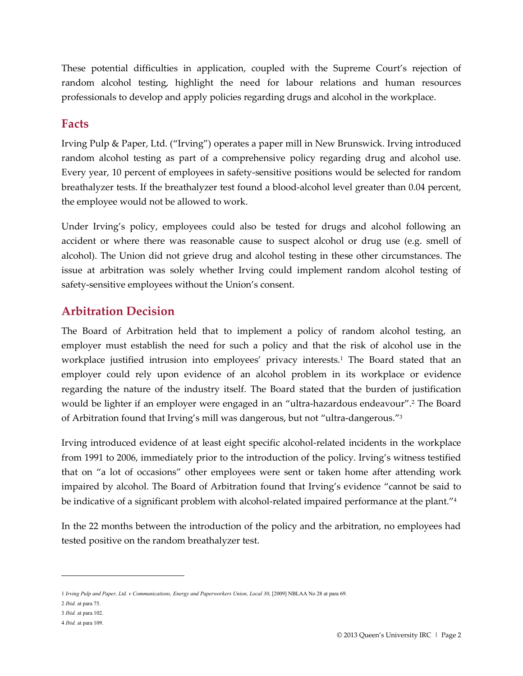These potential difficulties in application, coupled with the Supreme Court's rejection of random alcohol testing, highlight the need for labour relations and human resources professionals to develop and apply policies regarding drugs and alcohol in the workplace.

#### **Facts**

Irving Pulp & Paper, Ltd. ("Irving") operates a paper mill in New Brunswick. Irving introduced random alcohol testing as part of a comprehensive policy regarding drug and alcohol use. Every year, 10 percent of employees in safety-sensitive positions would be selected for random breathalyzer tests. If the breathalyzer test found a blood-alcohol level greater than 0.04 percent, the employee would not be allowed to work.

Under Irving's policy, employees could also be tested for drugs and alcohol following an accident or where there was reasonable cause to suspect alcohol or drug use (e.g. smell of alcohol). The Union did not grieve drug and alcohol testing in these other circumstances. The issue at arbitration was solely whether Irving could implement random alcohol testing of safety-sensitive employees without the Union's consent.

#### **Arbitration Decision**

The Board of Arbitration held that to implement a policy of random alcohol testing, an employer must establish the need for such a policy and that the risk of alcohol use in the workplace justified intrusion into employees' privacy interests.<sup>1</sup> The Board stated that an employer could rely upon evidence of an alcohol problem in its workplace or evidence regarding the nature of the industry itself. The Board stated that the burden of justification would be lighter if an employer were engaged in an "ultra-hazardous endeavour".<sup>2</sup> The Board of Arbitration found that Irving's mill was dangerous, but not "ultra-dangerous."<sup>3</sup>

Irving introduced evidence of at least eight specific alcohol-related incidents in the workplace from 1991 to 2006, immediately prior to the introduction of the policy. Irving's witness testified that on "a lot of occasions" other employees were sent or taken home after attending work impaired by alcohol. The Board of Arbitration found that Irving's evidence "cannot be said to be indicative of a significant problem with alcohol-related impaired performance at the plant."<sup>4</sup>

In the 22 months between the introduction of the policy and the arbitration, no employees had tested positive on the random breathalyzer test.

<sup>1</sup> *Irving Pulp and Paper, Ltd. v Communications, Energy and Paperworkers Union, Local 30*, [2009] NBLAA No 28 at para 69.

<sup>2</sup> *Ibid.* at para 75.

<sup>3</sup> *Ibid.* at para 102.

<sup>4</sup> *Ibid.* at para 109.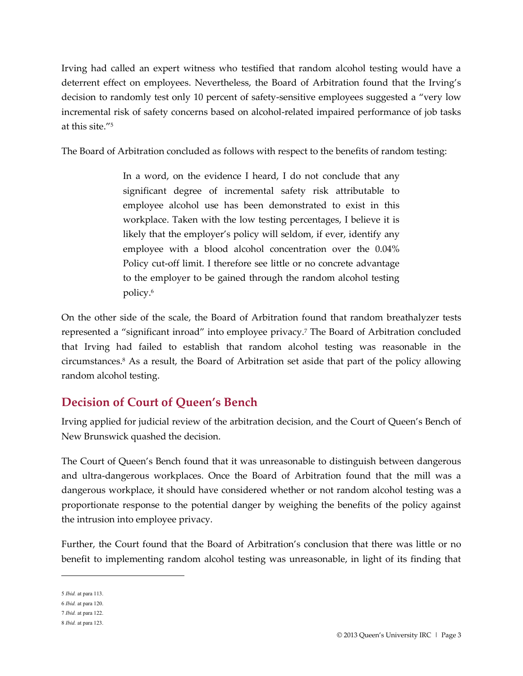Irving had called an expert witness who testified that random alcohol testing would have a deterrent effect on employees. Nevertheless, the Board of Arbitration found that the Irving's decision to randomly test only 10 percent of safety-sensitive employees suggested a "very low incremental risk of safety concerns based on alcohol-related impaired performance of job tasks at this site."<sup>5</sup>

The Board of Arbitration concluded as follows with respect to the benefits of random testing:

In a word, on the evidence I heard, I do not conclude that any significant degree of incremental safety risk attributable to employee alcohol use has been demonstrated to exist in this workplace. Taken with the low testing percentages, I believe it is likely that the employer's policy will seldom, if ever, identify any employee with a blood alcohol concentration over the 0.04% Policy cut-off limit. I therefore see little or no concrete advantage to the employer to be gained through the random alcohol testing policy.<sup>6</sup>

On the other side of the scale, the Board of Arbitration found that random breathalyzer tests represented a "significant inroad" into employee privacy.<sup>7</sup> The Board of Arbitration concluded that Irving had failed to establish that random alcohol testing was reasonable in the circumstances.<sup>8</sup> As a result, the Board of Arbitration set aside that part of the policy allowing random alcohol testing.

# **Decision of Court of Queen's Bench**

Irving applied for judicial review of the arbitration decision, and the Court of Queen's Bench of New Brunswick quashed the decision.

The Court of Queen's Bench found that it was unreasonable to distinguish between dangerous and ultra-dangerous workplaces. Once the Board of Arbitration found that the mill was a dangerous workplace, it should have considered whether or not random alcohol testing was a proportionate response to the potential danger by weighing the benefits of the policy against the intrusion into employee privacy.

Further, the Court found that the Board of Arbitration's conclusion that there was little or no benefit to implementing random alcohol testing was unreasonable, in light of its finding that

<sup>5</sup> *Ibid.* at para 113.

<sup>6</sup> *Ibid.* at para 120.

<sup>7</sup> *Ibid.* at para 122.

<sup>8</sup> *Ibid.* at para 123.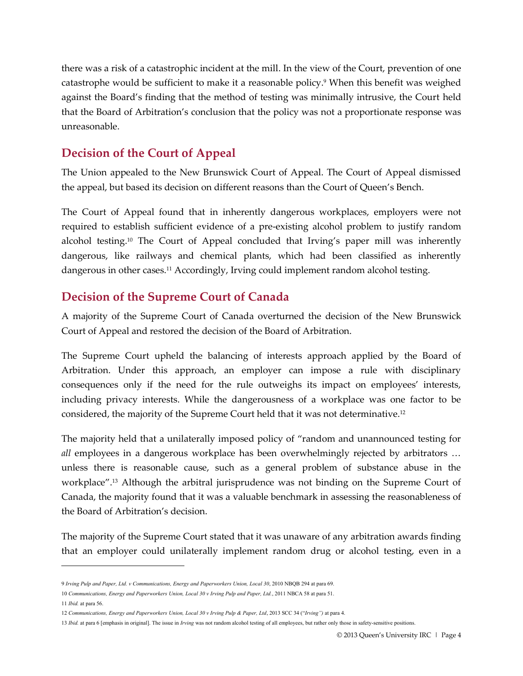there was a risk of a catastrophic incident at the mill. In the view of the Court, prevention of one catastrophe would be sufficient to make it a reasonable policy.<sup>9</sup> When this benefit was weighed against the Board's finding that the method of testing was minimally intrusive, the Court held that the Board of Arbitration's conclusion that the policy was not a proportionate response was unreasonable.

#### **Decision of the Court of Appeal**

The Union appealed to the New Brunswick Court of Appeal. The Court of Appeal dismissed the appeal, but based its decision on different reasons than the Court of Queen's Bench.

The Court of Appeal found that in inherently dangerous workplaces, employers were not required to establish sufficient evidence of a pre-existing alcohol problem to justify random alcohol testing.<sup>10</sup> The Court of Appeal concluded that Irving's paper mill was inherently dangerous, like railways and chemical plants, which had been classified as inherently dangerous in other cases.<sup>11</sup> Accordingly, Irving could implement random alcohol testing.

#### **Decision of the Supreme Court of Canada**

A majority of the Supreme Court of Canada overturned the decision of the New Brunswick Court of Appeal and restored the decision of the Board of Arbitration.

The Supreme Court upheld the balancing of interests approach applied by the Board of Arbitration. Under this approach, an employer can impose a rule with disciplinary consequences only if the need for the rule outweighs its impact on employees' interests, including privacy interests. While the dangerousness of a workplace was one factor to be considered, the majority of the Supreme Court held that it was not determinative.<sup>12</sup>

The majority held that a unilaterally imposed policy of "random and unannounced testing for *all* employees in a dangerous workplace has been overwhelmingly rejected by arbitrators … unless there is reasonable cause, such as a general problem of substance abuse in the workplace".13 Although the arbitral jurisprudence was not binding on the Supreme Court of Canada, the majority found that it was a valuable benchmark in assessing the reasonableness of the Board of Arbitration's decision.

The majority of the Supreme Court stated that it was unaware of any arbitration awards finding that an employer could unilaterally implement random drug or alcohol testing, even in a

<sup>9</sup> *Irving Pulp and Paper, Ltd. v Communications, Energy and Paperworkers Union, Local 30*, 2010 NBQB 294 at para 69.

<sup>10</sup> *Communications, Energy and Paperworkers Union, Local 30 v Irving Pulp and Paper, Ltd.*, 2011 NBCA 58 at para 51.

<sup>11</sup> *Ibid.* at para 56.

<sup>12</sup> *Communications, Energy and Paperworkers Union, Local 30 v Irving Pulp & Paper, Ltd*, 2013 SCC 34 ("*Irving")* at para 4.

<sup>13</sup> *Ibid.* at para 6 [emphasis in original]. The issue in *Irving* was not random alcohol testing of all employees, but rather only those in safety-sensitive positions.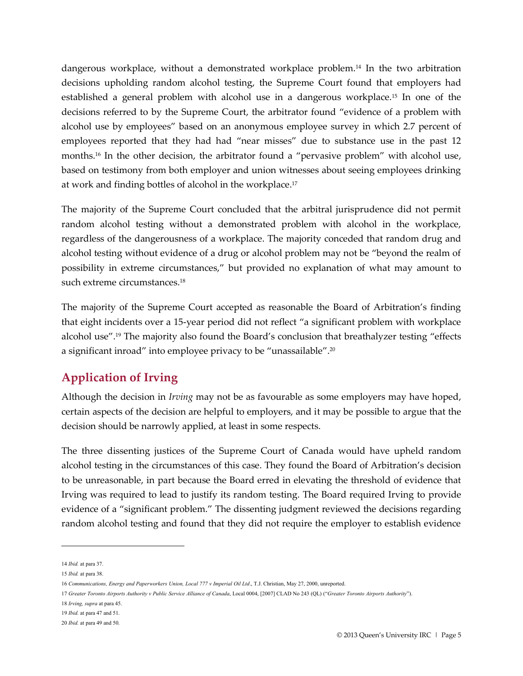dangerous workplace, without a demonstrated workplace problem.14 In the two arbitration decisions upholding random alcohol testing, the Supreme Court found that employers had established a general problem with alcohol use in a dangerous workplace.15 In one of the decisions referred to by the Supreme Court, the arbitrator found "evidence of a problem with alcohol use by employees" based on an anonymous employee survey in which 2.7 percent of employees reported that they had had "near misses" due to substance use in the past 12 months.16 In the other decision, the arbitrator found a "pervasive problem" with alcohol use, based on testimony from both employer and union witnesses about seeing employees drinking at work and finding bottles of alcohol in the workplace.<sup>17</sup>

The majority of the Supreme Court concluded that the arbitral jurisprudence did not permit random alcohol testing without a demonstrated problem with alcohol in the workplace, regardless of the dangerousness of a workplace. The majority conceded that random drug and alcohol testing without evidence of a drug or alcohol problem may not be "beyond the realm of possibility in extreme circumstances," but provided no explanation of what may amount to such extreme circumstances.<sup>18</sup>

The majority of the Supreme Court accepted as reasonable the Board of Arbitration's finding that eight incidents over a 15-year period did not reflect "a significant problem with workplace alcohol use".19 The majority also found the Board's conclusion that breathalyzer testing "effects a significant inroad" into employee privacy to be "unassailable".<sup>20</sup>

## **Application of Irving**

Although the decision in *Irving* may not be as favourable as some employers may have hoped, certain aspects of the decision are helpful to employers, and it may be possible to argue that the decision should be narrowly applied, at least in some respects.

The three dissenting justices of the Supreme Court of Canada would have upheld random alcohol testing in the circumstances of this case. They found the Board of Arbitration's decision to be unreasonable, in part because the Board erred in elevating the threshold of evidence that Irving was required to lead to justify its random testing. The Board required Irving to provide evidence of a "significant problem." The dissenting judgment reviewed the decisions regarding random alcohol testing and found that they did not require the employer to establish evidence

<sup>14</sup> *Ibid.* at para 37.

<sup>15</sup> *Ibid.* at para 38.

<sup>16</sup> *Communications, Energy and Paperworkers Union, Local 777 v Imperial Oil Ltd*., T.J. Christian, May 27, 2000, unreported.

<sup>17</sup> *Greater Toronto Airports Authority v Public Service Alliance of Canada*, Local 0004, [2007] CLAD No 243 (QL) ("*Greater Toronto Airports Authority*").

<sup>18</sup> *Irving, supra* at para 45.

<sup>19</sup> *Ibid.* at para 47 and 51.

<sup>20</sup> *Ibid.* at para 49 and 50.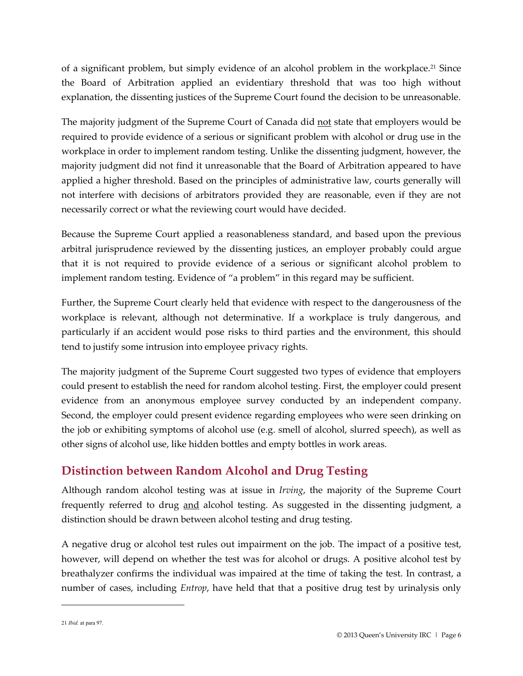of a significant problem, but simply evidence of an alcohol problem in the workplace. <sup>21</sup> Since the Board of Arbitration applied an evidentiary threshold that was too high without explanation, the dissenting justices of the Supreme Court found the decision to be unreasonable.

The majority judgment of the Supreme Court of Canada did not state that employers would be required to provide evidence of a serious or significant problem with alcohol or drug use in the workplace in order to implement random testing. Unlike the dissenting judgment, however, the majority judgment did not find it unreasonable that the Board of Arbitration appeared to have applied a higher threshold. Based on the principles of administrative law, courts generally will not interfere with decisions of arbitrators provided they are reasonable, even if they are not necessarily correct or what the reviewing court would have decided.

Because the Supreme Court applied a reasonableness standard, and based upon the previous arbitral jurisprudence reviewed by the dissenting justices, an employer probably could argue that it is not required to provide evidence of a serious or significant alcohol problem to implement random testing. Evidence of "a problem" in this regard may be sufficient.

Further, the Supreme Court clearly held that evidence with respect to the dangerousness of the workplace is relevant, although not determinative. If a workplace is truly dangerous, and particularly if an accident would pose risks to third parties and the environment, this should tend to justify some intrusion into employee privacy rights.

The majority judgment of the Supreme Court suggested two types of evidence that employers could present to establish the need for random alcohol testing. First, the employer could present evidence from an anonymous employee survey conducted by an independent company. Second, the employer could present evidence regarding employees who were seen drinking on the job or exhibiting symptoms of alcohol use (e.g. smell of alcohol, slurred speech), as well as other signs of alcohol use, like hidden bottles and empty bottles in work areas.

## **Distinction between Random Alcohol and Drug Testing**

Although random alcohol testing was at issue in *Irving*, the majority of the Supreme Court frequently referred to drug and alcohol testing. As suggested in the dissenting judgment, a distinction should be drawn between alcohol testing and drug testing.

A negative drug or alcohol test rules out impairment on the job. The impact of a positive test, however, will depend on whether the test was for alcohol or drugs. A positive alcohol test by breathalyzer confirms the individual was impaired at the time of taking the test. In contrast, a number of cases, including *Entrop*, have held that that a positive drug test by urinalysis only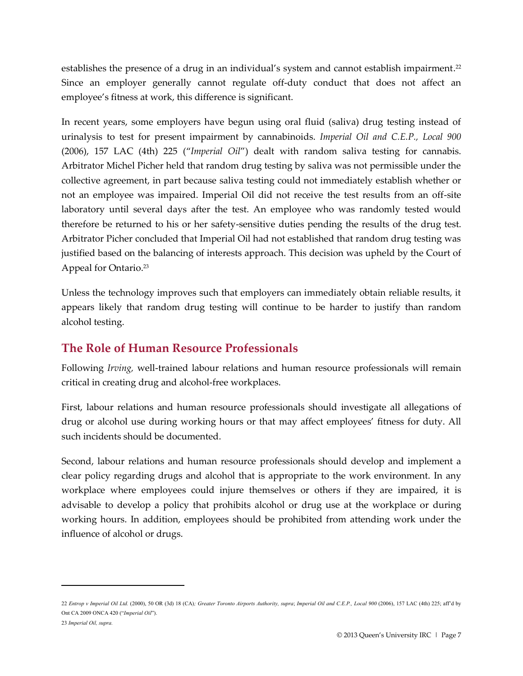establishes the presence of a drug in an individual's system and cannot establish impairment.<sup>22</sup> Since an employer generally cannot regulate off-duty conduct that does not affect an employee's fitness at work, this difference is significant.

In recent years, some employers have begun using oral fluid (saliva) drug testing instead of urinalysis to test for present impairment by cannabinoids. *Imperial Oil and C.E.P., Local 900* (2006), 157 LAC (4th) 225 ("*Imperial Oil*") dealt with random saliva testing for cannabis. Arbitrator Michel Picher held that random drug testing by saliva was not permissible under the collective agreement, in part because saliva testing could not immediately establish whether or not an employee was impaired. Imperial Oil did not receive the test results from an off-site laboratory until several days after the test. An employee who was randomly tested would therefore be returned to his or her safety-sensitive duties pending the results of the drug test. Arbitrator Picher concluded that Imperial Oil had not established that random drug testing was justified based on the balancing of interests approach. This decision was upheld by the Court of Appeal for Ontario.<sup>23</sup>

Unless the technology improves such that employers can immediately obtain reliable results, it appears likely that random drug testing will continue to be harder to justify than random alcohol testing.

#### **The Role of Human Resource Professionals**

Following *Irving,* well-trained labour relations and human resource professionals will remain critical in creating drug and alcohol-free workplaces.

First, labour relations and human resource professionals should investigate all allegations of drug or alcohol use during working hours or that may affect employees' fitness for duty. All such incidents should be documented.

Second, labour relations and human resource professionals should develop and implement a clear policy regarding drugs and alcohol that is appropriate to the work environment. In any workplace where employees could injure themselves or others if they are impaired, it is advisable to develop a policy that prohibits alcohol or drug use at the workplace or during working hours. In addition, employees should be prohibited from attending work under the influence of alcohol or drugs.

<sup>22</sup> *Entrop v Imperial Oil Ltd.* (2000), 50 OR (3d) 18 (CA)*; Greater Toronto Airports Authority, supra*; *Imperial Oil and C.E.P., Local 900* (2006), 157 LAC (4th) 225; aff'd by Ont CA 2009 ONCA 420 ("*Imperial Oil*").

<sup>23</sup> *Imperial Oil, supra.*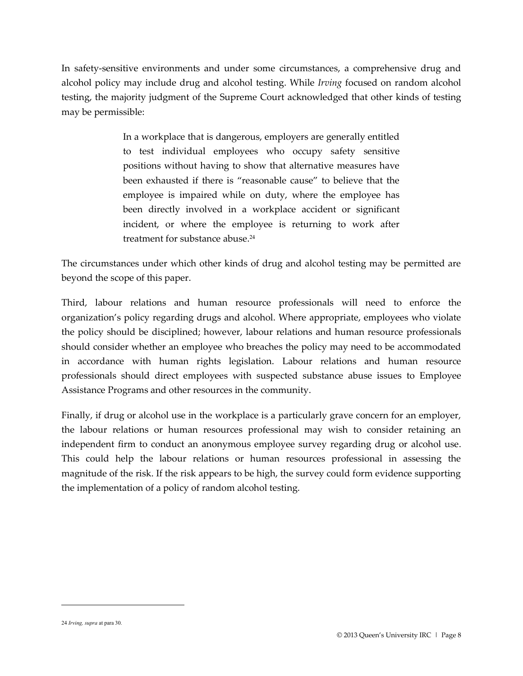In safety-sensitive environments and under some circumstances, a comprehensive drug and alcohol policy may include drug and alcohol testing. While *Irving* focused on random alcohol testing, the majority judgment of the Supreme Court acknowledged that other kinds of testing may be permissible:

> In a workplace that is dangerous, employers are generally entitled to test individual employees who occupy safety sensitive positions without having to show that alternative measures have been exhausted if there is "reasonable cause" to believe that the employee is impaired while on duty, where the employee has been directly involved in a workplace accident or significant incident, or where the employee is returning to work after treatment for substance abuse.<sup>24</sup>

The circumstances under which other kinds of drug and alcohol testing may be permitted are beyond the scope of this paper.

Third, labour relations and human resource professionals will need to enforce the organization's policy regarding drugs and alcohol. Where appropriate, employees who violate the policy should be disciplined; however, labour relations and human resource professionals should consider whether an employee who breaches the policy may need to be accommodated in accordance with human rights legislation. Labour relations and human resource professionals should direct employees with suspected substance abuse issues to Employee Assistance Programs and other resources in the community.

Finally, if drug or alcohol use in the workplace is a particularly grave concern for an employer, the labour relations or human resources professional may wish to consider retaining an independent firm to conduct an anonymous employee survey regarding drug or alcohol use. This could help the labour relations or human resources professional in assessing the magnitude of the risk. If the risk appears to be high, the survey could form evidence supporting the implementation of a policy of random alcohol testing.

<sup>24</sup> *Irving, supra* at para 30.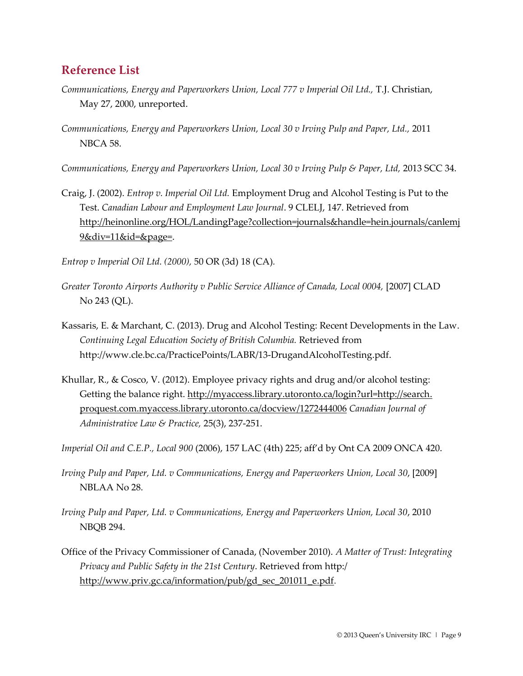#### **Reference List**

- *Communications, Energy and Paperworkers Union, Local 777 v Imperial Oil Ltd.,* T.J. Christian, May 27, 2000, unreported.
- *Communications, Energy and Paperworkers Union, Local 30 v Irving Pulp and Paper, Ltd.,* 2011 NBCA 58.

*Communications, Energy and Paperworkers Union, Local 30 v Irving Pulp & Paper, Ltd, 2013 SCC 34.* 

Craig, J. (2002). *Entrop v. Imperial Oil Ltd.* Employment Drug and Alcohol Testing is Put to the Test. *Canadian Labour and Employment Law Journal*. 9 CLELJ, 147. Retrieved from http://heinonline.org/HOL/LandingPage?collection=journals&handle=hein.journals/canlemj 9&div=11&id=&page=.

*Entrop v Imperial Oil Ltd. (2000),* 50 OR (3d) 18 (CA)*.* 

- *Greater Toronto Airports Authority v Public Service Alliance of Canada, Local 0004,* [2007] CLAD No 243 (QL).
- Kassaris, E. & Marchant, C. (2013). Drug and Alcohol Testing: Recent Developments in the Law. *Continuing Legal Education Society of British Columbia.* Retrieved from http://www.cle.bc.ca/PracticePoints/LABR/13-DrugandAlcoholTesting.pdf.
- Khullar, R., & Cosco, V. (2012). Employee privacy rights and drug and/or alcohol testing: Getting the balance right. http://myaccess.library.utoronto.ca/login?url=http://search. proquest.com.myaccess.library.utoronto.ca/docview/1272444006 *Canadian Journal of Administrative Law & Practice,* 25(3), 237-251.

*Imperial Oil and C.E.P., Local 900* (2006), 157 LAC (4th) 225; aff'd by Ont CA 2009 ONCA 420.

- *Irving Pulp and Paper, Ltd. v Communications, Energy and Paperworkers Union, Local 30*, [2009] NBLAA No 28.
- *Irving Pulp and Paper, Ltd. v Communications, Energy and Paperworkers Union, Local 30*, 2010 NBQB 294.
- Office of the Privacy Commissioner of Canada, (November 2010). *A Matter of Trust: Integrating Privacy and Public Safety in the 21st Century*. Retrieved from http:/ http://www.priv.gc.ca/information/pub/gd\_sec\_201011\_e.pdf.